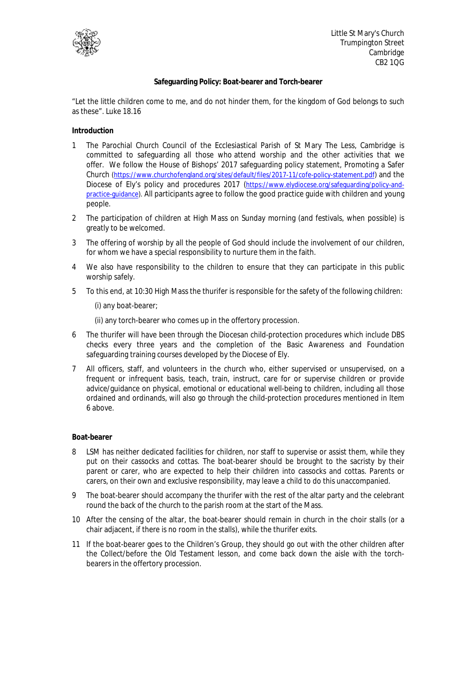

## **Safeguarding Policy: Boat-bearer and Torch-bearer**

"Let the little children come to me, and do not hinder them, for the kingdom of God belongs to such as these". Luke 18.16

**Introduction** 

- 1 The Parochial Church Council of the Ecclesiastical Parish of St Mary The Less, Cambridge is committed to safeguarding all those who attend worship and the other activities that we offer. We follow the House of Bishops' 2017 safeguarding policy statement, Promoting a Safer Church (https://www.churchofengland.org/sites/default/files/2017-11/cofe-policy-statement.pdf) and the Diocese of Ely's policy and procedures 2017 (https://www.elydiocese.org/safeguarding/policy-andpractice-guidance). All participants agree to follow the good practice guide with children and young people.
- 2 The participation of children at High Mass on Sunday morning (and festivals, when possible) is greatly to be welcomed.
- 3 The offering of worship by all the people of God should include the involvement of our children, for whom we have a special responsibility to nurture them in the faith.
- 4 We also have responsibility to the children to ensure that they can participate in this public worship safely.
- 5 To this end, at 10:30 High Mass the thurifer is responsible for the safety of the following children:

(i) any boat-bearer;

(ii) any torch-bearer who comes up in the offertory procession.

- 6 The thurifer will have been through the Diocesan child-protection procedures which include DBS checks every three years and the completion of the Basic Awareness and Foundation safeguarding training courses developed by the Diocese of Ely.
- 7 All officers, staff, and volunteers in the church who, either supervised or unsupervised, on a frequent or infrequent basis, teach, train, instruct, care for or supervise children or provide advice/guidance on physical, emotional or educational well-being to children, including all those ordained and ordinands, will also go through the child-protection procedures mentioned in Item 6 above.

## **Boat-bearer**

- 8 LSM has neither dedicated facilities for children, nor staff to supervise or assist them, while they put on their cassocks and cottas. The boat-bearer should be brought to the sacristy by their parent or carer, who are expected to help their children into cassocks and cottas. Parents or carers, on their own and exclusive responsibility, may leave a child to do this unaccompanied.
- 9 The boat-bearer should accompany the thurifer with the rest of the altar party and the celebrant round the back of the church to the parish room at the start of the Mass.
- 10 After the censing of the altar, the boat-bearer should remain in church in the choir stalls (or a chair adjacent, if there is no room in the stalls), while the thurifer exits.
- 11 If the boat-bearer goes to the Children's Group, they should go out with the other children after the Collect/before the Old Testament lesson, and come back down the aisle with the torchbearers in the offertory procession.